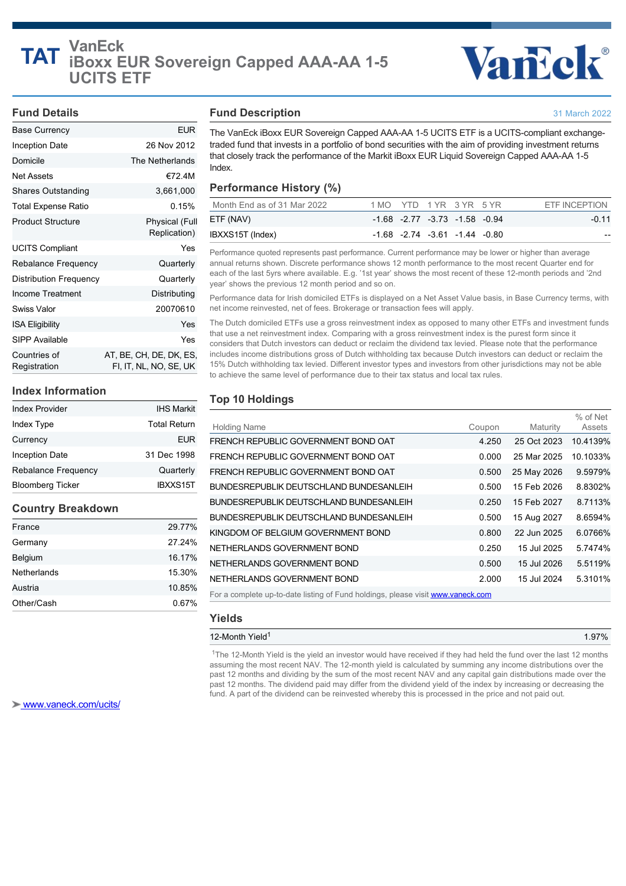

31 March 2022

## **Fund Details**

## Base Currency **EUR** Inception Date 26 Nov 2012 Domicile **The Netherlands** Net Assets **€72.4M** Shares Outstanding 3,661,000 Total Expense Ratio 0.15% Product Structure **Physical** (Full Replication) UCITS Compliant **Yes** Rebalance Frequency **Canadia** Quarterly Distribution Frequency Quarterly Income Treatment Distributing Swiss Valor 20070610 ISA Eligibility Yes SIPP Available Yes Countries of Registration AT, BE, CH, DE, DK, ES, FI, IT, NL, NO, SE, UK

## **Index Information**

| <b>Index Provider</b>   | <b>IHS Markit</b> |
|-------------------------|-------------------|
| Index Type              | Total Return      |
| Currency                | <b>EUR</b>        |
| <b>Inception Date</b>   | 31 Dec 1998       |
| Rebalance Frequency     | Quarterly         |
| <b>Bloomberg Ticker</b> | IBXXS15T          |

## **Country Breakdown**

| Other/Cash  | 0.67%  |
|-------------|--------|
| Austria     | 10.85% |
| Netherlands | 15.30% |
| Belgium     | 16.17% |
| Germany     | 27.24% |
| France      | 29.77% |

## **Fund Description**

The VanEck iBoxx EUR Sovereign Capped AAA-AA 1-5 UCITS ETF is a UCITS-compliant exchangetraded fund that invests in a portfolio of bond securities with the aim of providing investment returns that closely track the performance of the Markit iBoxx EUR Liquid Sovereign Capped AAA-AA 1-5 Index.

## **Performance History (%)**

| Month End as of 31 Mar 2022 | 1 MO YTD 1 YR 3 YR 5 YR |                                         |  | ETF INCEPTION |
|-----------------------------|-------------------------|-----------------------------------------|--|---------------|
| ETF (NAV)                   |                         | $-1.68$ $-2.77$ $-3.73$ $-1.58$ $-0.94$ |  | $-0.11$       |
| IBXXS15T (Index)            |                         | $-1.68$ $-2.74$ $-3.61$ $-1.44$ $-0.80$ |  | $- -$         |

Performance quoted represents past performance. Current performance may be lower or higher than average annual returns shown. Discrete performance shows 12 month performance to the most recent Quarter end for each of the last 5yrs where available. E.g. '1st year' shows the most recent of these 12-month periods and '2nd year' shows the previous 12 month period and so on.

Performance data for Irish domiciled ETFs is displayed on a Net Asset Value basis, in Base Currency terms, with net income reinvested, net of fees. Brokerage or transaction fees will apply.

The Dutch domiciled ETFs use a gross reinvestment index as opposed to many other ETFs and investment funds that use a net reinvestment index. Comparing with a gross reinvestment index is the purest form since it considers that Dutch investors can deduct or reclaim the dividend tax levied. Please note that the performance includes income distributions gross of Dutch withholding tax because Dutch investors can deduct or reclaim the 15% Dutch withholding tax levied. Different investor types and investors from other jurisdictions may not be able to achieve the same level of performance due to their tax status and local tax rules.

## **Top 10 Holdings**

| <b>Holding Name</b>                                                             | Coupon | Maturity    | % of Net<br>Assets |  |  |
|---------------------------------------------------------------------------------|--------|-------------|--------------------|--|--|
| FRENCH REPUBLIC GOVERNMENT BOND OAT                                             | 4.250  | 25 Oct 2023 | 10.4139%           |  |  |
| FRENCH REPUBLIC GOVERNMENT BOND OAT                                             | 0.000  | 25 Mar 2025 | 10.1033%           |  |  |
| FRENCH REPUBLIC GOVERNMENT BOND OAT                                             | 0.500  | 25 May 2026 | 9.5979%            |  |  |
| BUNDESREPUBLIK DEUTSCHLAND BUNDESANLEIH                                         | 0.500  | 15 Feb 2026 | 8.8302%            |  |  |
| <b>BUNDESREPUBLIK DEUTSCHLAND BUNDESANLEIH</b>                                  | 0.250  | 15 Feb 2027 | 8.7113%            |  |  |
| BUNDESREPUBLIK DEUTSCHLAND BUNDESANLEIH                                         | 0.500  | 15 Aug 2027 | 8.6594%            |  |  |
| KINGDOM OF BELGIUM GOVERNMENT BOND                                              | 0.800  | 22 Jun 2025 | 6.0766%            |  |  |
| NETHERLANDS GOVERNMENT BOND                                                     | 0.250  | 15 Jul 2025 | 5.7474%            |  |  |
| NETHERLANDS GOVERNMENT BOND                                                     | 0.500  | 15 Jul 2026 | 5.5119%            |  |  |
| NETHERLANDS GOVERNMENT BOND                                                     | 2.000  | 15 Jul 2024 | 5.3101%            |  |  |
| For a complete up-to-date listing of Fund holdings, please visit www.vaneck.com |        |             |                    |  |  |

## **Yields**

## 12-Month Yield 1.97% 1

<sup>1</sup>The 12-Month Yield is the yield an investor would have received if they had held the fund over the last 12 months assuming the most recent NAV. The 12-month yield is calculated by summing any income distributions over the past 12 months and dividing by the sum of the most recent NAV and any capital gain distributions made over the past 12 months. The dividend paid may differ from the dividend yield of the index by increasing or decreasing the fund. A part of the dividend can be reinvested whereby this is processed in the price and not paid out.

 [www.vaneck.com/ucits/](http://www.vaneck.com/ucits/)